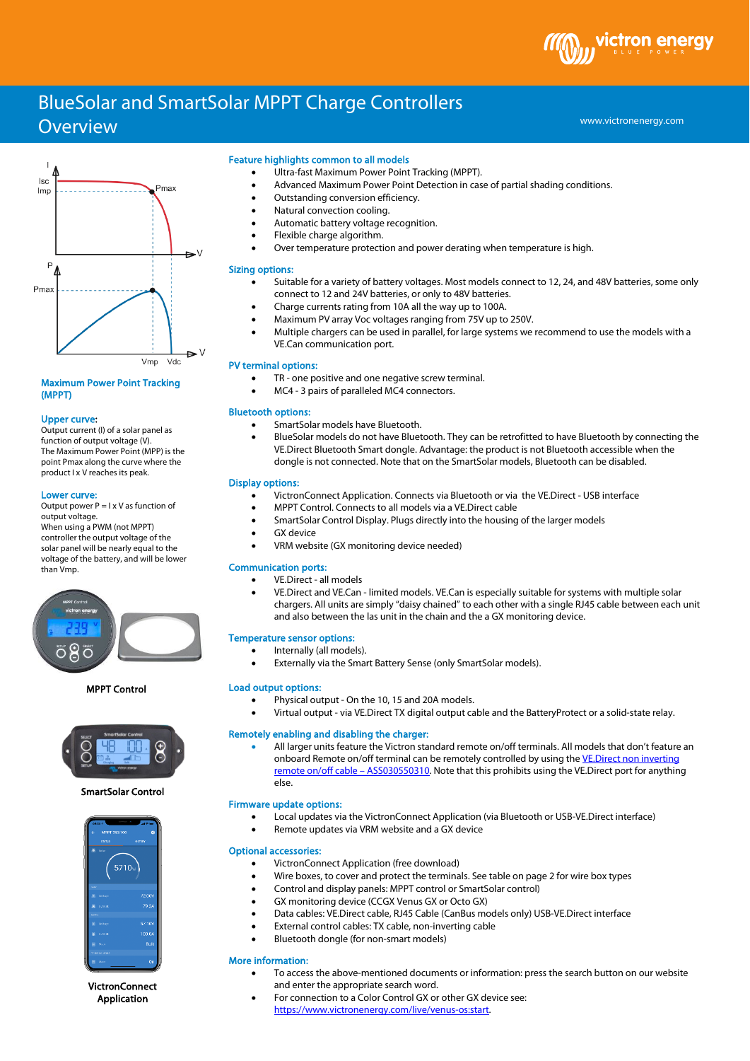BlueSolar and SmartSolar MPPT Charge Controllers

# **Overview**



## Maximum Power Point Tracking (MPPT)

## Upper curve:

Output current (I) of a solar panel as function of output voltage (V). The Maximum Power Point (MPP) is the point Pmax along the curve where the product I x V reaches its peak.

#### Lower curve:

Output power  $P = I \times V$  as function of output voltage. When using a PWM (not MPPT) controller the output voltage of the solar panel will be nearly equal to the voltage of the battery, and will be lower than Vmp.



MPPT Control



# SmartSolar Control



VictronConnect Application

## Feature highlights common to all models

- Ultra-fast Maximum Power Point Tracking (MPPT).
- Advanced Maximum Power Point Detection in case of partial shading conditions.
- Outstanding conversion efficiency.
- Natural convection cooling.
- Automatic battery voltage recognition.
- Flexible charge algorithm.
- Over temperature protection and power derating when temperature is high.

# Sizing options:

- Suitable for a variety of battery voltages. Most models connect to 12, 24, and 48V batteries, some only connect to 12 and 24V batteries, or only to 48V batteries.
- Charge currents rating from 10A all the way up to 100A.
- Maximum PV array Voc voltages ranging from 75V up to 250V.
- Multiple chargers can be used in parallel, for large systems we recommend to use the models with a VE.Can communication port.

## PV terminal options:

- TR one positive and one negative screw terminal.
- MC4 3 pairs of paralleled MC4 connectors.

## Bluetooth options:

- SmartSolar models have Bluetooth.
- BlueSolar models do not have Bluetooth. They can be retrofitted to have Bluetooth by connecting the VE.Direct Bluetooth Smart dongle. Advantage: the product is not Bluetooth accessible when the dongle is not connected. Note that on the SmartSolar models, Bluetooth can be disabled.

#### Display options:

- VictronConnect Application. Connects via Bluetooth or via the VE.Direct USB interface
- MPPT Control. Connects to all models via a VE.Direct cable
- SmartSolar Control Display. Plugs directly into the housing of the larger models
- **GX** device
- VRM website (GX monitoring device needed)

## Communication ports:

- VE.Direct all models
- VE.Direct and VE.Can limited models. VE.Can is especially suitable for systems with multiple solar chargers. All units are simply "daisy chained" to each other with a single RJ45 cable between each unit and also between the las unit in the chain and the a GX monitoring device.

## Temperature sensor options:

- Internally (all models).
	- Externally via the Smart Battery Sense (only SmartSolar models).

#### Load output options:

- Physical output On the 10, 15 and 20A models.
- Virtual output via VE.Direct TX digital output cable and the BatteryProtect or a solid-state relay.

## Remotely enabling and disabling the charger:

• All larger units feature the Victron standard remote on/off terminals. All models that don't feature an onboard Remote on/off terminal can be remotely controlled by using the VE.Direct non inverting [remote on/off cable –](https://www.victronenergy.com/cables/ve-direct-non-inverting-remote-on-off-cable) ASS030550310. Note that this prohibits using the VE.Direct port for anything else.

# Firmware update options:

- Local updates via the VictronConnect Application (via Bluetooth or USB-VE.Direct interface)
	- Remote updates via VRM website and a GX device

#### Optional accessories:

- VictronConnect Application (free download)
- Wire boxes, to cover and protect the terminals. See table on page 2 for wire box types
- Control and display panels: MPPT control or SmartSolar control)
- GX monitoring device (CCGX Venus GX or Octo GX)
- Data cables: VE.Direct cable, RJ45 Cable (CanBus models only) USB-VE.Direct interface
- External control cables: TX cable, non-inverting cable
- Bluetooth dongle (for non-smart models)

#### More information:

- To access the above-mentioned documents or information: press the search button on our website and enter the appropriate search word.
	- For connection to a Color Control GX or other GX device see: [https://www.victronenergy.com/live/venus-os:start.](https://www.victronenergy.com/live/venus-os:start)



www.victronenergy.com